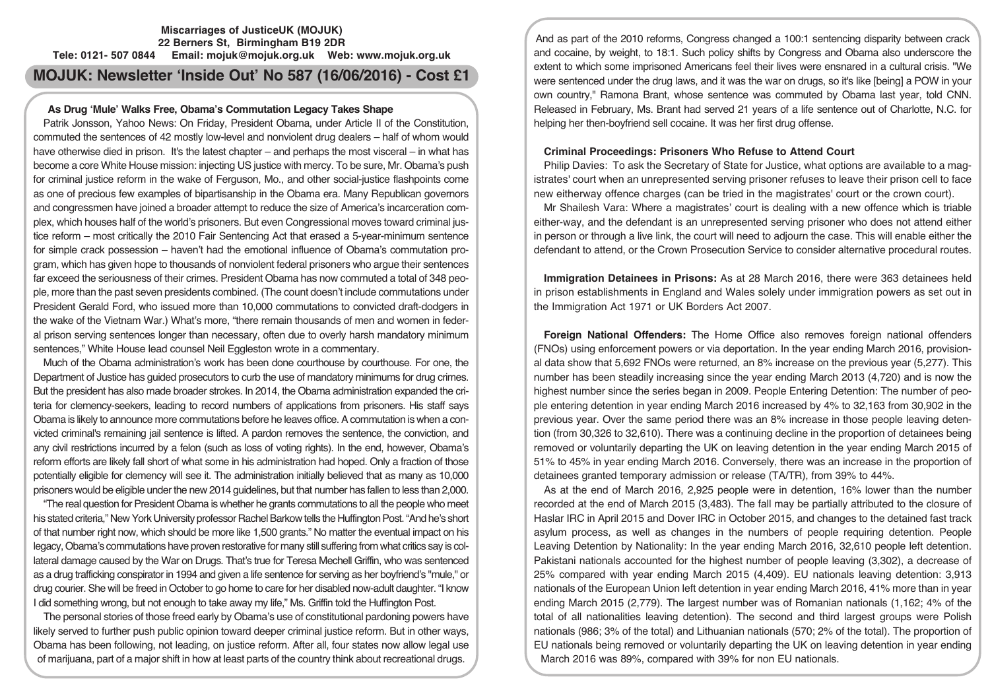#### **Miscarriages of JusticeUK (MOJUK) 22 Berners St, Birmingham B19 2DR Tele: 0121- 507 0844 Email: mojuk@mojuk.org.uk Web: www.mojuk.org.uk**

**MOJUK: Newsletter 'Inside Out' No 587 (16/06/2016) - Cost £1**

### **As Drug 'Mule' Walks Free, Obama's Commutation Legacy Takes Shape**

Patrik Jonsson, Yahoo News: On Friday, President Obama, under Article II of the Constitution, commuted the sentences of 42 mostly low-level and nonviolent drug dealers – half of whom would have otherwise died in prison. It's the latest chapter – and perhaps the most visceral – in what has become a core White House mission: injecting US justice with mercy. To be sure, Mr. Obama's push for criminal justice reform in the wake of Ferguson, Mo., and other social-justice flashpoints come as one of precious few examples of bipartisanship in the Obama era. Many Republican governors and congressmen have joined a broader attempt to reduce the size of America's incarceration complex, which houses half of the world's prisoners. But even Congressional moves toward criminal justice reform – most critically the 2010 Fair Sentencing Act that erased a 5-year-minimum sentence for simple crack possession – haven't had the emotional influence of Obama's commutation program, which has given hope to thousands of nonviolent federal prisoners who argue their sentences far exceed the seriousness of their crimes. President Obama has now commuted a total of 348 people, more than the past seven presidents combined. (The count doesn't include commutations under President Gerald Ford, who issued more than 10,000 commutations to convicted draft-dodgers in the wake of the Vietnam War.) What's more, "there remain thousands of men and women in federal prison serving sentences longer than necessary, often due to overly harsh mandatory minimum sentences," White House lead counsel Neil Eggleston wrote in a commentary.

Much of the Obama administration's work has been done courthouse by courthouse. For one, the Department of Justice has guided prosecutors to curb the use of mandatory minimums for drug crimes. But the president has also made broader strokes. In 2014, the Obama administration expanded the criteria for clemency-seekers, leading to record numbers of applications from prisoners. His staff says Obama is likely to announce more commutations before he leaves office. A commutation is when a convicted criminal's remaining jail sentence is lifted. A pardon removes the sentence, the conviction, and any civil restrictions incurred by a felon (such as loss of voting rights). In the end, however, Obama's reform efforts are likely fall short of what some in his administration had hoped. Only a fraction of those potentially eligible for clemency will see it. The administration initially believed that as many as 10,000 prisoners would be eligible underthe new 2014 guidelines, but that number has fallen to less than 2,000.

"The real question for President Obama is whether he grants commutations to all the people who meet his stated criteria," New York University professor Rachel Barkow tells the Huffington Post. "And he's short of that number right now, which should be more like 1,500 grants." No matter the eventual impact on his legacy, Obama's commutations have proven restorative for many still suffering from what critics say is collateral damage caused by the War on Drugs. That's true for Teresa Mechell Griffin, who was sentenced as a drug trafficking conspirator in 1994 and given a life sentence for serving as her boyfriend's "mule," or drug courier. She will be freed in October to go home to care for her disabled now-adult daughter. "I know I did something wrong, but not enough to take away my life," Ms. Griffin told the Huffington Post.

The personal stories of those freed early by Obama's use of constitutional pardoning powers have likely served to further push public opinion toward deeper criminal justice reform. But in other ways, Obama has been following, not leading, on justice reform. After all, four states now allow legal use of marijuana, part of a major shift in how at least parts of the country think about recreational drugs.

And as part of the 2010 reforms, Congress changed a 100:1 sentencing disparity between crack and cocaine, by weight, to 18:1. Such policy shifts by Congress and Obama also underscore the extent to which some imprisoned Americans feel their lives were ensnared in a cultural crisis. "We were sentenced under the drug laws, and it was the war on drugs, so it's like [being] a POW in your own country," Ramona Brant, whose sentence was commuted by Obama last year, told CNN. Released in February, Ms. Brant had served 21 years of a life sentence out of Charlotte, N.C. for helping her then-boyfriend sell cocaine. It was her first drug offense.

## **Criminal Proceedings: Prisoners Who Refuse to Attend Court**

Philip Davies: To ask the Secretary of State for Justice, what options are available to a magistrates' court when an unrepresented serving prisoner refuses to leave their prison cell to face new eitherway offence charges (can be tried in the magistrates' court or the crown court).

Mr Shailesh Vara: Where a magistrates' court is dealing with a new offence which is triable either-way, and the defendant is an unrepresented serving prisoner who does not attend either in person or through a live link, the court will need to adjourn the case. This will enable either the defendant to attend, or the Crown Prosecution Service to consider alternative procedural routes.

**Immigration Detainees in Prisons:** As at 28 March 2016, there were 363 detainees held in prison establishments in England and Wales solely under immigration powers as set out in the Immigration Act 1971 or UK Borders Act 2007.

**Foreign National Offenders:** The Home Office also removes foreign national offenders (FNOs) using enforcement powers or via deportation. In the year ending March 2016, provisional data show that 5,692 FNOs were returned, an 8% increase on the previous year (5,277). This number has been steadily increasing since the year ending March 2013 (4,720) and is now the highest number since the series began in 2009. People Entering Detention: The number of people entering detention in year ending March 2016 increased by 4% to 32,163 from 30,902 in the previous year. Over the same period there was an 8% increase in those people leaving detention (from 30,326 to 32,610). There was a continuing decline in the proportion of detainees being removed or voluntarily departing the UK on leaving detention in the year ending March 2015 of 51% to 45% in year ending March 2016. Conversely, there was an increase in the proportion of detainees granted temporary admission or release (TA/TR), from 39% to 44%.

As at the end of March 2016, 2,925 people were in detention, 16% lower than the number recorded at the end of March 2015 (3,483). The fall may be partially attributed to the closure of Haslar IRC in April 2015 and Dover IRC in October 2015, and changes to the detained fast track asylum process, as well as changes in the numbers of people requiring detention. People Leaving Detention by Nationality: In the year ending March 2016, 32,610 people left detention. Pakistani nationals accounted for the highest number of people leaving (3,302), a decrease of 25% compared with year ending March 2015 (4,409). EU nationals leaving detention: 3,913 nationals of the European Union left detention in year ending March 2016, 41% more than in year ending March 2015 (2,779). The largest number was of Romanian nationals (1,162; 4% of the total of all nationalities leaving detention). The second and third largest groups were Polish nationals (986; 3% of the total) and Lithuanian nationals (570; 2% of the total). The proportion of EU nationals being removed or voluntarily departing the UK on leaving detention in year ending March 2016 was 89%, compared with 39% for non EU nationals.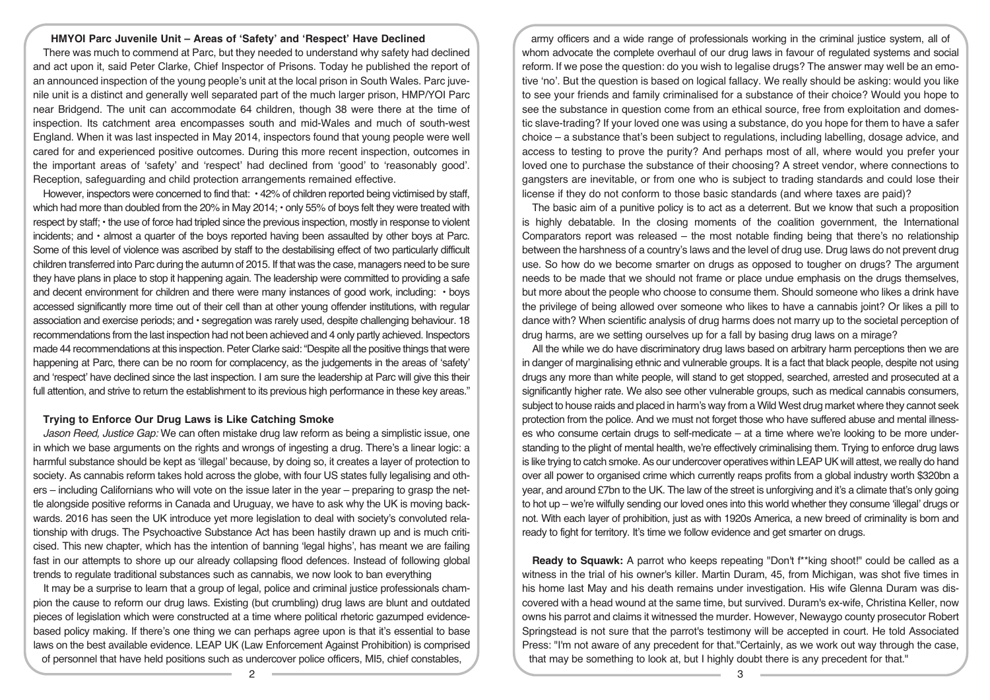### **HMYOI Parc Juvenile Unit – Areas of 'Safety' and 'Respect' Have Declined**

There was much to commend at Parc, but they needed to understand why safety had declined and act upon it, said Peter Clarke, Chief Inspector of Prisons. Today he published the report of an announced inspection of the young people's unit at the local prison in South Wales. Parc juvenile unit is a distinct and generally well separated part of the much larger prison, HMP/YOI Parc near Bridgend. The unit can accommodate 64 children, though 38 were there at the time of inspection. Its catchment area encompasses south and mid-Wales and much of south-west England. When it was last inspected in May 2014, inspectors found that young people were well cared for and experienced positive outcomes. During this more recent inspection, outcomes in the important areas of 'safety' and 'respect' had declined from 'good' to 'reasonably good'. Reception, safeguarding and child protection arrangements remained effective.

However, inspectors were concerned to find that: • 42% of children reported being victimised by staff, which had more than doubled from the 20% in May 2014; • only 55% of boys felt they were treated with respect by staff; • the use of force had tripled since the previous inspection, mostly in response to violent incidents; and • almost a quarter of the boys reported having been assaulted by other boys at Parc. Some of this level of violence was ascribed by staff to the destabilising effect of two particularly difficult children transferred into Parc during the autumn of 2015. If that was the case, managers need to be sure they have plans in place to stop it happening again. The leadership were committed to providing a safe and decent environment for children and there were many instances of good work, including: • boys accessed significantly more time out of their cell than at other young offender institutions, with regular association and exercise periods; and • segregation was rarely used, despite challenging behaviour. 18 recommendations from the last inspection had not been achieved and 4 only partly achieved. Inspectors made 44 recommendations at this inspection. Peter Clarke said: "Despite all the positive things that were happening at Parc, there can be no room for complacency, as the judgements in the areas of 'safety' and 'respect' have declined since the last inspection. I am sure the leadership at Parc will give this their full attention, and strive to return the establishment to its previous high performance in these key areas."

#### **Trying to Enforce Our Drug Laws is Like Catching Smoke**

*Jason Reed, Justice Gap:* We can often mistake drug law reform as being a simplistic issue, one in which we base arguments on the rights and wrongs of ingesting a drug. There's a linear logic: a harmful substance should be kept as 'illegal' because, by doing so, it creates a layer of protection to society. As cannabis reform takes hold across the globe, with four US states fully legalising and others – including Californians who will vote on the issue later in the year – preparing to grasp the nettle alongside positive reforms in Canada and Uruguay, we have to ask why the UK is moving backwards. 2016 has seen the UK introduce yet more legislation to deal with society's convoluted relationship with drugs. The Psychoactive Substance Act has been hastily drawn up and is much criticised. This new chapter, which has the intention of banning 'legal highs', has meant we are failing fast in our attempts to shore up our already collapsing flood defences. Instead of following global trends to regulate traditional substances such as cannabis, we now look to ban everything

It may be a surprise to learn that a group of legal, police and criminal justice professionals champion the cause to reform our drug laws. Existing (but crumbling) drug laws are blunt and outdated pieces of legislation which were constructed at a time where political rhetoric gazumped evidencebased policy making. If there's one thing we can perhaps agree upon is that it's essential to base laws on the best available evidence. LEAP UK (Law Enforcement Against Prohibition) is comprised of personnel that have held positions such as undercover police officers, MI5, chief constables,

army officers and a wide range of professionals working in the criminal justice system, all of whom advocate the complete overhaul of our drug laws in favour of regulated systems and social reform. If we pose the question: do you wish to legalise drugs? The answer may well be an emotive 'no'. But the question is based on logical fallacy. We really should be asking: would you like to see your friends and family criminalised for a substance of their choice? Would you hope to see the substance in question come from an ethical source, free from exploitation and domestic slave-trading? If your loved one was using a substance, do you hope for them to have a safer choice – a substance that's been subject to regulations, including labelling, dosage advice, and access to testing to prove the purity? And perhaps most of all, where would you prefer your loved one to purchase the substance of their choosing? A street vendor, where connections to gangsters are inevitable, or from one who is subject to trading standards and could lose their license if they do not conform to those basic standards (and where taxes are paid)?

The basic aim of a punitive policy is to act as a deterrent. But we know that such a proposition is highly debatable. In the closing moments of the coalition government, the International Comparators report was released – the most notable finding being that there's no relationship between the harshness of a country's laws and the level of drug use. Drug laws do not prevent drug use. So how do we become smarter on drugs as opposed to tougher on drugs? The argument needs to be made that we should not frame or place undue emphasis on the drugs themselves, but more about the people who choose to consume them. Should someone who likes a drink have the privilege of being allowed over someone who likes to have a cannabis joint? Or likes a pill to dance with? When scientific analysis of drug harms does not marry up to the societal perception of drug harms, are we setting ourselves up for a fall by basing drug laws on a mirage?

All the while we do have discriminatory drug laws based on arbitrary harm perceptions then we are in danger of marginalising ethnic and vulnerable groups. It is a fact that black people, despite not using drugs any more than white people, will stand to get stopped, searched, arrested and prosecuted at a significantly higher rate. We also see other vulnerable groups, such as medical cannabis consumers, subject to house raids and placed in harm's way from a Wild West drug market where they cannot seek protection from the police. And we must not forget those who have suffered abuse and mental illnesses who consume certain drugs to self-medicate – at a time where we're looking to be more understanding to the plight of mental health, we're effectively criminalising them. Trying to enforce drug laws is like trying to catch smoke. As our undercover operatives within LEAP UK will attest, we really do hand over all power to organised crime which currently reaps profits from a global industry worth \$320bn a year, and around £7bn to the UK. The law of the street is unforgiving and it's a climate that's only going to hot up – we're wilfully sending our loved ones into this world whether they consume 'illegal' drugs or not. With each layer of prohibition, just as with 1920s America, a new breed of criminality is born and ready to fight for territory. It's time we follow evidence and get smarter on drugs.

**Ready to Squawk:** A parrot who keeps repeating "Don't f\*\*king shoot!" could be called as a witness in the trial of his owner's killer. Martin Duram, 45, from Michigan, was shot five times in his home last May and his death remains under investigation. His wife Glenna Duram was discovered with a head wound at the same time, but survived. Duram's ex-wife, Christina Keller, now owns his parrot and claims it witnessed the murder. However, Newaygo county prosecutor Robert Springstead is not sure that the parrot's testimony will be accepted in court. He told Associated Press: "I'm not aware of any precedent for that."Certainly, as we work out way through the case, that may be something to look at, but I highly doubt there is any precedent for that."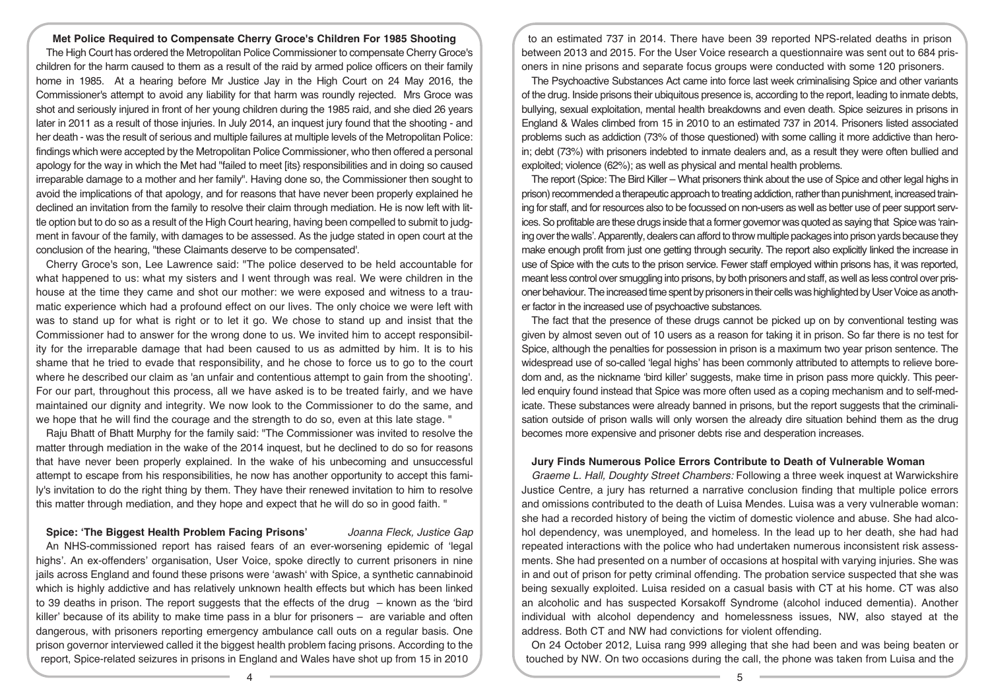#### **Met Police Required to Compensate Cherry Groce's Children For 1985 Shooting**

The High Court has ordered the Metropolitan Police Commissioner to compensate Cherry Groce's children for the harm caused to them as a result of the raid by armed police officers on their family home in 1985. At a hearing before Mr Justice Jay in the High Court on 24 May 2016, the Commissioner's attempt to avoid any liability for that harm was roundly rejected. Mrs Groce was shot and seriously injured in front of her young children during the 1985 raid, and she died 26 years later in 2011 as a result of those injuries. In July 2014, an inquest jury found that the shooting - and her death - was the result of serious and multiple failures at multiple levels of the Metropolitan Police: findings which were accepted by the Metropolitan Police Commissioner, who then offered a personal apology for the way in which the Met had "failed to meet [its} responsibilities and in doing so caused irreparable damage to a mother and her family". Having done so, the Commissioner then sought to avoid the implications of that apology, and for reasons that have never been properly explained he declined an invitation from the family to resolve their claim through mediation. He is now left with little option but to do so as a result of the High Court hearing, having been compelled to submit to judgment in favour of the family, with damages to be assessed. As the judge stated in open court at the conclusion of the hearing, "these Claimants deserve to be compensated'.

Cherry Groce's son, Lee Lawrence said: "The police deserved to be held accountable for what happened to us: what my sisters and I went through was real. We were children in the house at the time they came and shot our mother: we were exposed and witness to a traumatic experience which had a profound effect on our lives. The only choice we were left with was to stand up for what is right or to let it go. We chose to stand up and insist that the Commissioner had to answer for the wrong done to us. We invited him to accept responsibility for the irreparable damage that had been caused to us as admitted by him. It is to his shame that he tried to evade that responsibility, and he chose to force us to go to the court where he described our claim as 'an unfair and contentious attempt to gain from the shooting'. For our part, throughout this process, all we have asked is to be treated fairly, and we have maintained our dignity and integrity. We now look to the Commissioner to do the same, and we hope that he will find the courage and the strength to do so, even at this late stage. "

Raju Bhatt of Bhatt Murphy for the family said: "The Commissioner was invited to resolve the matter through mediation in the wake of the 2014 inquest, but he declined to do so for reasons that have never been properly explained. In the wake of his unbecoming and unsuccessful attempt to escape from his responsibilities, he now has another opportunity to accept this family's invitation to do the right thing by them. They have their renewed invitation to him to resolve this matter through mediation, and they hope and expect that he will do so in good faith. "

#### **Spice: 'The Biggest Health Problem Facing Prisons'** *Joanna Fleck, Justice Gap*

An NHS-commissioned report has raised fears of an ever-worsening epidemic of 'legal highs'. An ex-offenders' organisation, User Voice, spoke directly to current prisoners in nine jails across England and found these prisons were 'awash' with Spice, a synthetic cannabinoid which is highly addictive and has relatively unknown health effects but which has been linked to 39 deaths in prison. The report suggests that the effects of the drug  $-$  known as the 'bird' killer' because of its ability to make time pass in a blur for prisoners – are variable and often dangerous, with prisoners reporting emergency ambulance call outs on a regular basis. One prison governor interviewed called it the biggest health problem facing prisons. According to the report, Spice-related seizures in prisons in England and Wales have shot up from 15 in 2010

to an estimated 737 in 2014. There have been 39 reported NPS-related deaths in prison between 2013 and 2015. For the User Voice research a questionnaire was sent out to 684 prisoners in nine prisons and separate focus groups were conducted with some 120 prisoners.

The Psychoactive Substances Act came into force last week criminalising Spice and other variants of the drug. Inside prisons their ubiquitous presence is, according to the report, leading to inmate debts, bullying, sexual exploitation, mental health breakdowns and even death. Spice seizures in prisons in England & Wales climbed from 15 in 2010 to an estimated 737 in 2014. Prisoners listed associated problems such as addiction (73% of those questioned) with some calling it more addictive than heroin; debt (73%) with prisoners indebted to inmate dealers and, as a result they were often bullied and exploited; violence (62%); as well as physical and mental health problems.

The report (Spice: The Bird Killer – What prisoners think about the use of Spice and other legal highs in prison) recommended a therapeutic approach to treating addiction, rather than punishment, increased training for staff, and for resources also to be focussed on non-users as well as better use of peer support services. So profitable are these drugs inside that a former governor was quoted as saying that Spice was 'raining over the walls'. Apparently, dealers can afford to throw multiple packages into prison yards because they make enough profit from just one getting through security. The report also explicitly linked the increase in use of Spice with the cuts to the prison service. Fewer staff employed within prisons has, it was reported, meant less control over smuggling into prisons, by both prisoners and staff, as well as less control over prisoner behaviour. The increased time spent by prisoners in their cells was highlighted by User Voice as another factor in the increased use of psychoactive substances.

The fact that the presence of these drugs cannot be picked up on by conventional testing was given by almost seven out of 10 users as a reason for taking it in prison. So far there is no test for Spice, although the penalties for possession in prison is a maximum two year prison sentence. The widespread use of so-called 'legal highs' has been commonly attributed to attempts to relieve boredom and, as the nickname 'bird killer' suggests, make time in prison pass more quickly. This peerled enquiry found instead that Spice was more often used as a coping mechanism and to self-medicate. These substances were already banned in prisons, but the report suggests that the criminalisation outside of prison walls will only worsen the already dire situation behind them as the drug becomes more expensive and prisoner debts rise and desperation increases.

# **Jury Finds Numerous Police Errors Contribute to Death of Vulnerable Woman**

*Graeme L. Hall, Doughty Street Chambers:* Following a three week inquest at Warwickshire Justice Centre, a jury has returned a narrative conclusion finding that multiple police errors and omissions contributed to the death of Luisa Mendes. Luisa was a very vulnerable woman: she had a recorded history of being the victim of domestic violence and abuse. She had alcohol dependency, was unemployed, and homeless. In the lead up to her death, she had had repeated interactions with the police who had undertaken numerous inconsistent risk assessments. She had presented on a number of occasions at hospital with varying injuries. She was in and out of prison for petty criminal offending. The probation service suspected that she was being sexually exploited. Luisa resided on a casual basis with CT at his home. CT was also an alcoholic and has suspected Korsakoff Syndrome (alcohol induced dementia). Another individual with alcohol dependency and homelessness issues, NW, also stayed at the address. Both CT and NW had convictions for violent offending.

On 24 October 2012, Luisa rang 999 alleging that she had been and was being beaten or touched by NW. On two occasions during the call, the phone was taken from Luisa and the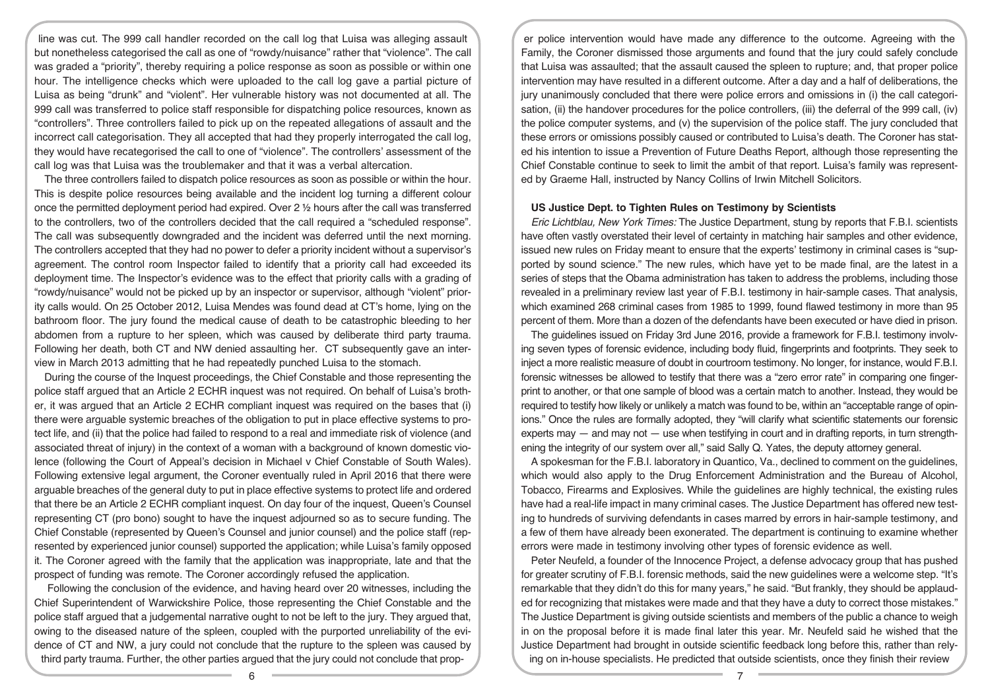line was cut. The 999 call handler recorded on the call log that Luisa was alleging assault but nonetheless categorised the call as one of "rowdy/nuisance" rather that "violence". The call was graded a "priority", thereby requiring a police response as soon as possible or within one hour. The intelligence checks which were uploaded to the call log gave a partial picture of Luisa as being "drunk" and "violent". Her vulnerable history was not documented at all. The 999 call was transferred to police staff responsible for dispatching police resources, known as "controllers". Three controllers failed to pick up on the repeated allegations of assault and the incorrect call categorisation. They all accepted that had they properly interrogated the call log, they would have recategorised the call to one of "violence". The controllers' assessment of the call log was that Luisa was the troublemaker and that it was a verbal altercation.

The three controllers failed to dispatch police resources as soon as possible or within the hour. This is despite police resources being available and the incident log turning a different colour once the permitted deployment period had expired. Over 2 ½ hours after the call was transferred to the controllers, two of the controllers decided that the call required a "scheduled response". The call was subsequently downgraded and the incident was deferred until the next morning. The controllers accepted that they had no power to defer a priority incident without a supervisor's agreement. The control room Inspector failed to identify that a priority call had exceeded its deployment time. The Inspector's evidence was to the effect that priority calls with a grading of "rowdy/nuisance" would not be picked up by an inspector or supervisor, although "violent" priority calls would. On 25 October 2012, Luisa Mendes was found dead at CT's home, lying on the bathroom floor. The jury found the medical cause of death to be catastrophic bleeding to her abdomen from a rupture to her spleen, which was caused by deliberate third party trauma. Following her death, both CT and NW denied assaulting her. CT subsequently gave an interview in March 2013 admitting that he had repeatedly punched Luisa to the stomach.

During the course of the Inquest proceedings, the Chief Constable and those representing the police staff argued that an Article 2 ECHR inquest was not required. On behalf of Luisa's brother, it was argued that an Article 2 ECHR compliant inquest was required on the bases that (i) there were arguable systemic breaches of the obligation to put in place effective systems to protect life, and (ii) that the police had failed to respond to a real and immediate risk of violence (and associated threat of injury) in the context of a woman with a background of known domestic violence (following the Court of Appeal's decision in Michael v Chief Constable of South Wales). Following extensive legal argument, the Coroner eventually ruled in April 2016 that there were arguable breaches of the general duty to put in place effective systems to protect life and ordered that there be an Article 2 ECHR compliant inquest. On day four of the inquest, Queen's Counsel representing CT (pro bono) sought to have the inquest adjourned so as to secure funding. The Chief Constable (represented by Queen's Counsel and junior counsel) and the police staff (represented by experienced junior counsel) supported the application; while Luisa's family opposed it. The Coroner agreed with the family that the application was inappropriate, late and that the prospect of funding was remote. The Coroner accordingly refused the application.

Following the conclusion of the evidence, and having heard over 20 witnesses, including the Chief Superintendent of Warwickshire Police, those representing the Chief Constable and the police staff argued that a judgemental narrative ought to not be left to the jury. They argued that, owing to the diseased nature of the spleen, coupled with the purported unreliability of the evidence of CT and NW, a jury could not conclude that the rupture to the spleen was caused by third party trauma. Further, the other parties argued that the jury could not conclude that prop-

er police intervention would have made any difference to the outcome. Agreeing with the Family, the Coroner dismissed those arguments and found that the jury could safely conclude that Luisa was assaulted; that the assault caused the spleen to rupture; and, that proper police intervention may have resulted in a different outcome. After a day and a half of deliberations, the jury unanimously concluded that there were police errors and omissions in (i) the call categorisation, (ii) the handover procedures for the police controllers, (iii) the deferral of the 999 call, (iv) the police computer systems, and (v) the supervision of the police staff. The jury concluded that these errors or omissions possibly caused or contributed to Luisa's death. The Coroner has stated his intention to issue a Prevention of Future Deaths Report, although those representing the Chief Constable continue to seek to limit the ambit of that report. Luisa's family was represented by Graeme Hall, instructed by Nancy Collins of Irwin Mitchell Solicitors.

### **US Justice Dept. to Tighten Rules on Testimony by Scientists**

*Eric Lichtblau, New York Times:* The Justice Department, stung by reports that F.B.I. scientists have often vastly overstated their level of certainty in matching hair samples and other evidence, issued new rules on Friday meant to ensure that the experts' testimony in criminal cases is "supported by sound science." The new rules, which have yet to be made final, are the latest in a series of steps that the Obama administration has taken to address the problems, including those revealed in a preliminary review last year of F.B.I. testimony in hair-sample cases. That analysis, which examined 268 criminal cases from 1985 to 1999, found flawed testimony in more than 95 percent of them. More than a dozen of the defendants have been executed or have died in prison.

The guidelines issued on Friday 3rd June 2016, provide a framework for F.B.I. testimony involving seven types of forensic evidence, including body fluid, fingerprints and footprints. They seek to inject a more realistic measure of doubt in courtroom testimony. No longer, for instance, would F.B.I. forensic witnesses be allowed to testify that there was a "zero error rate" in comparing one fingerprint to another, or that one sample of blood was a certain match to another. Instead, they would be required to testify how likely or unlikely a match was found to be, within an "acceptable range of opinions." Once the rules are formally adopted, they "will clarify what scientific statements our forensic experts may  $-$  and may not  $-$  use when testifying in court and in drafting reports, in turn strengthening the integrity of our system over all," said Sally Q. Yates, the deputy attorney general.

A spokesman for the F.B.I. laboratory in Quantico, Va., declined to comment on the guidelines, which would also apply to the Drug Enforcement Administration and the Bureau of Alcohol, Tobacco, Firearms and Explosives. While the guidelines are highly technical, the existing rules have had a real-life impact in many criminal cases. The Justice Department has offered new testing to hundreds of surviving defendants in cases marred by errors in hair-sample testimony, and a few of them have already been exonerated. The department is continuing to examine whether errors were made in testimony involving other types of forensic evidence as well.

Peter Neufeld, a founder of the Innocence Project, a defense advocacy group that has pushed for greater scrutiny of F.B.I. forensic methods, said the new guidelines were a welcome step. "It's remarkable that they didn't do this for many years," he said. "But frankly, they should be applauded for recognizing that mistakes were made and that they have a duty to correct those mistakes." The Justice Department is giving outside scientists and members of the public a chance to weigh in on the proposal before it is made final later this year. Mr. Neufeld said he wished that the Justice Department had brought in outside scientific feedback long before this, rather than relying on in-house specialists. He predicted that outside scientists, once they finish their review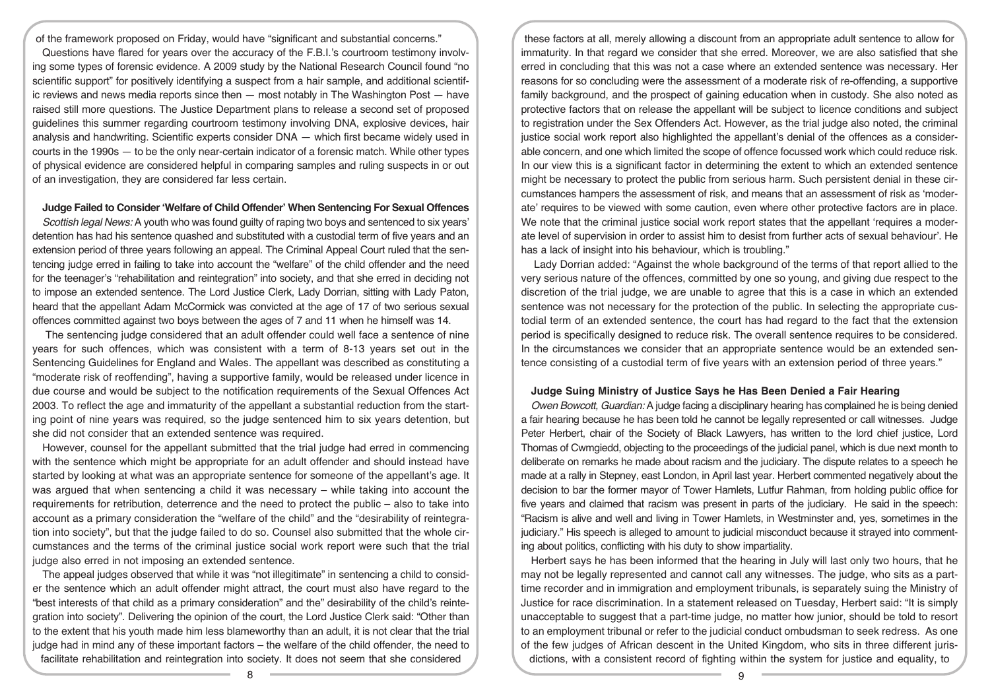of the framework proposed on Friday, would have "significant and substantial concerns." Questions have flared for years over the accuracy of the F.B.I.'s courtroom testimony involving some types of forensic evidence. A 2009 study by the National Research Council found "no scientific support" for positively identifying a suspect from a hair sample, and additional scientific reviews and news media reports since then — most notably in The Washington Post — have raised still more questions. The Justice Department plans to release a second set of proposed guidelines this summer regarding courtroom testimony involving DNA, explosive devices, hair analysis and handwriting. Scientific experts consider DNA — which first became widely used in courts in the 1990s — to be the only near-certain indicator of a forensic match. While other types of physical evidence are considered helpful in comparing samples and ruling suspects in or out of an investigation, they are considered far less certain.

## **Judge Failed to Consider'Welfare of Child Offender' When Sentencing For Sexual Offences**

*Scottish legal News:* A youth who was found guilty of raping two boys and sentenced to six years' detention has had his sentence quashed and substituted with a custodial term of five years and an extension period of three years following an appeal. The Criminal Appeal Court ruled that the sentencing judge erred in failing to take into account the "welfare" of the child offender and the need for the teenager's "rehabilitation and reintegration" into society, and that she erred in deciding not to impose an extended sentence. The Lord Justice Clerk, Lady Dorrian, sitting with Lady Paton, heard that the appellant Adam McCormick was convicted at the age of 17 of two serious sexual offences committed against two boys between the ages of 7 and 11 when he himself was 14.

The sentencing judge considered that an adult offender could well face a sentence of nine years for such offences, which was consistent with a term of 8-13 years set out in the Sentencing Guidelines for England and Wales. The appellant was described as constituting a "moderate risk of reoffending", having a supportive family, would be released under licence in due course and would be subject to the notification requirements of the Sexual Offences Act 2003. To reflect the age and immaturity of the appellant a substantial reduction from the starting point of nine years was required, so the judge sentenced him to six years detention, but she did not consider that an extended sentence was required.

However, counsel for the appellant submitted that the trial judge had erred in commencing with the sentence which might be appropriate for an adult offender and should instead have started by looking at what was an appropriate sentence for someone of the appellant's age. It was argued that when sentencing a child it was necessary – while taking into account the requirements for retribution, deterrence and the need to protect the public – also to take into account as a primary consideration the "welfare of the child" and the "desirability of reintegration into society", but that the judge failed to do so. Counsel also submitted that the whole circumstances and the terms of the criminal justice social work report were such that the trial judge also erred in not imposing an extended sentence.

The appeal judges observed that while it was "not illegitimate" in sentencing a child to consider the sentence which an adult offender might attract, the court must also have regard to the "best interests of that child as a primary consideration" and the" desirability of the child's reintegration into society". Delivering the opinion of the court, the Lord Justice Clerk said: "Other than to the extent that his youth made him less blameworthy than an adult, it is not clear that the trial judge had in mind any of these important factors – the welfare of the child offender, the need to facilitate rehabilitation and reintegration into society. It does not seem that she considered

these factors at all, merely allowing a discount from an appropriate adult sentence to allow for immaturity. In that regard we consider that she erred. Moreover, we are also satisfied that she erred in concluding that this was not a case where an extended sentence was necessary. Her reasons for so concluding were the assessment of a moderate risk of re-offending, a supportive family background, and the prospect of gaining education when in custody. She also noted as protective factors that on release the appellant will be subject to licence conditions and subject to registration under the Sex Offenders Act. However, as the trial judge also noted, the criminal justice social work report also highlighted the appellant's denial of the offences as a considerable concern, and one which limited the scope of offence focussed work which could reduce risk. In our view this is a significant factor in determining the extent to which an extended sentence might be necessary to protect the public from serious harm. Such persistent denial in these circumstances hampers the assessment of risk, and means that an assessment of risk as 'moderate' requires to be viewed with some caution, even where other protective factors are in place. We note that the criminal justice social work report states that the appellant 'requires a moderate level of supervision in order to assist him to desist from further acts of sexual behaviour'. He has a lack of insight into his behaviour, which is troubling."

Lady Dorrian added: "Against the whole background of the terms of that report allied to the very serious nature of the offences, committed by one so young, and giving due respect to the discretion of the trial judge, we are unable to agree that this is a case in which an extended sentence was not necessary for the protection of the public. In selecting the appropriate custodial term of an extended sentence, the court has had regard to the fact that the extension period is specifically designed to reduce risk. The overall sentence requires to be considered. In the circumstances we consider that an appropriate sentence would be an extended sentence consisting of a custodial term of five years with an extension period of three years."

# **Judge Suing Ministry of Justice Says he Has Been Denied a Fair Hearing**

*Owen Bowcott, Guardian:* A judge facing a disciplinary hearing has complained he is being denied a fair hearing because he has been told he cannot be legally represented or call witnesses. Judge Peter Herbert, chair of the Society of Black Lawyers, has written to the lord chief justice, Lord Thomas of Cwmgiedd, objecting to the proceedings of the judicial panel, which is due next month to deliberate on remarks he made about racism and the judiciary. The dispute relates to a speech he made at a rally in Stepney, east London, in April last year. Herbert commented negatively about the decision to bar the former mayor of Tower Hamlets, Lutfur Rahman, from holding public office for five years and claimed that racism was present in parts of the judiciary. He said in the speech: "Racism is alive and well and living in Tower Hamlets, in Westminster and, yes, sometimes in the judiciary." His speech is alleged to amount to judicial misconduct because it strayed into commenting about politics, conflicting with his duty to show impartiality.

Herbert says he has been informed that the hearing in July will last only two hours, that he may not be legally represented and cannot call any witnesses. The judge, who sits as a parttime recorder and in immigration and employment tribunals, is separately suing the Ministry of Justice for race discrimination. In a statement released on Tuesday, Herbert said: "It is simply unacceptable to suggest that a part-time judge, no matter how junior, should be told to resort to an employment tribunal or refer to the judicial conduct ombudsman to seek redress. As one of the few judges of African descent in the United Kingdom, who sits in three different jurisdictions, with a consistent record of fighting within the system for justice and equality, to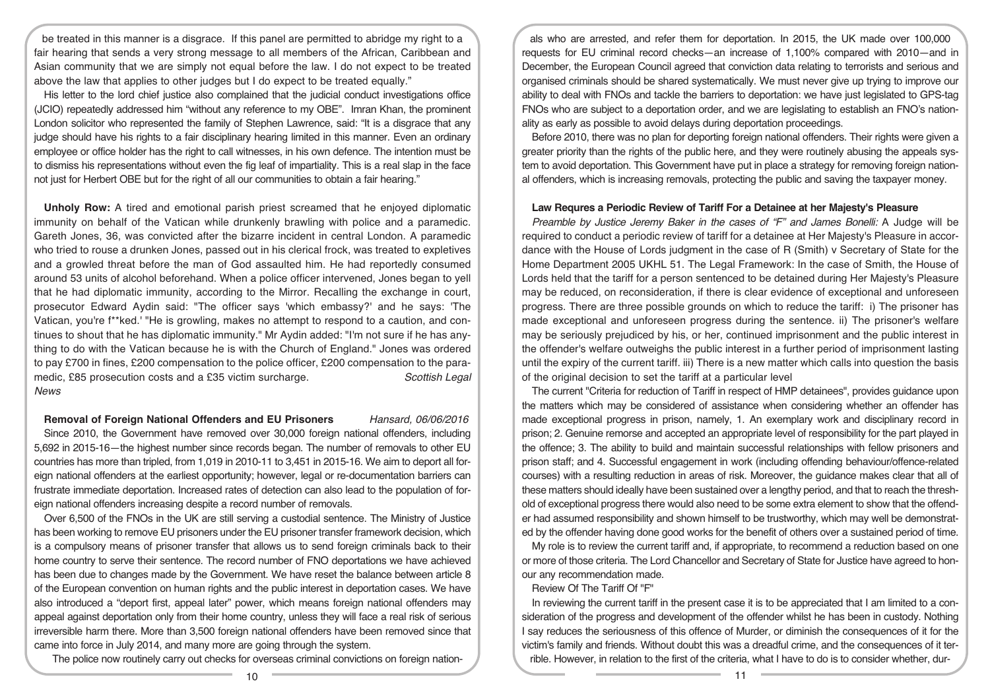be treated in this manner is a disgrace. If this panel are permitted to abridge my right to a fair hearing that sends a very strong message to all members of the African, Caribbean and Asian community that we are simply not equal before the law. I do not expect to be treated above the law that applies to other judges but I do expect to be treated equally."

His letter to the lord chief justice also complained that the judicial conduct investigations office (JCIO) repeatedly addressed him "without any reference to my OBE". Imran Khan, the prominent London solicitor who represented the family of Stephen Lawrence, said: "It is a disgrace that any judge should have his rights to a fair disciplinary hearing limited in this manner. Even an ordinary employee or office holder has the right to call witnesses, in his own defence. The intention must be to dismiss his representations without even the fig leaf of impartiality. This is a real slap in the face not just for Herbert OBE but for the right of all our communities to obtain a fair hearing."

**Unholy Row:** A tired and emotional parish priest screamed that he enjoyed diplomatic immunity on behalf of the Vatican while drunkenly brawling with police and a paramedic. Gareth Jones, 36, was convicted after the bizarre incident in central London. A paramedic who tried to rouse a drunken Jones, passed out in his clerical frock, was treated to expletives and a growled threat before the man of God assaulted him. He had reportedly consumed around 53 units of alcohol beforehand. When a police officer intervened, Jones began to yell that he had diplomatic immunity, according to the Mirror. Recalling the exchange in court, prosecutor Edward Aydin said: "The officer says 'which embassy?' and he says: 'The Vatican, you're f\*\*ked.' "He is growling, makes no attempt to respond to a caution, and continues to shout that he has diplomatic immunity." Mr Aydin added: "I'm not sure if he has anything to do with the Vatican because he is with the Church of England." Jones was ordered to pay £700 in fines, £200 compensation to the police officer, £200 compensation to the paramedic, £85 prosecution costs and a £35 victim surcharge. *Scottish Legal News*

#### **Removal of Foreign National Offenders and EU Prisoners** *Hansard, 06/06/2016*

Since 2010, the Government have removed over 30,000 foreign national offenders, including 5,692 in 2015-16—the highest number since records began. The number of removals to other EU countries has more than tripled, from 1,019 in 2010-11 to 3,451 in 2015-16. We aim to deport all foreign national offenders at the earliest opportunity; however, legal or re-documentation barriers can frustrate immediate deportation. Increased rates of detection can also lead to the population of foreign national offenders increasing despite a record number of removals.

Over 6,500 of the FNOs in the UK are still serving a custodial sentence. The Ministry of Justice has been working to remove EU prisoners under the EU prisoner transfer framework decision, which is a compulsory means of prisoner transfer that allows us to send foreign criminals back to their home country to serve their sentence. The record number of FNO deportations we have achieved has been due to changes made by the Government. We have reset the balance between article 8 of the European convention on human rights and the public interest in deportation cases. We have also introduced a "deport first, appeal later" power, which means foreign national offenders may appeal against deportation only from their home country, unless they will face a real risk of serious irreversible harm there. More than 3,500 foreign national offenders have been removed since that came into force in July 2014, and many more are going through the system.

The police now routinely carry out checks for overseas criminal convictions on foreign nation-

als who are arrested, and refer them for deportation. In 2015, the UK made over 100,000 requests for EU criminal record checks—an increase of 1,100% compared with 2010—and in December, the European Council agreed that conviction data relating to terrorists and serious and organised criminals should be shared systematically. We must never give up trying to improve our ability to deal with FNOs and tackle the barriers to deportation: we have just legislated to GPS-tag FNOs who are subject to a deportation order, and we are legislating to establish an FNO's nationality as early as possible to avoid delays during deportation proceedings.

Before 2010, there was no plan for deporting foreign national offenders. Their rights were given a greater priority than the rights of the public here, and they were routinely abusing the appeals system to avoid deportation. This Government have put in place a strategy for removing foreign national offenders, which is increasing removals, protecting the public and saving the taxpayer money.

## **Law Requres a Periodic Review of Tariff For a Detainee at her Majesty's Pleasure**

*Preamble by Justice Jeremy Baker in the cases of "F" and James Bonelli:* A Judge will be required to conduct a periodic review of tariff for a detainee at Her Majesty's Pleasure in accordance with the House of Lords judgment in the case of R (Smith) v Secretary of State for the Home Department 2005 UKHL 51. The Legal Framework: In the case of Smith, the House of Lords held that the tariff for a person sentenced to be detained during Her Majesty's Pleasure may be reduced, on reconsideration, if there is clear evidence of exceptional and unforeseen progress. There are three possible grounds on which to reduce the tariff: i) The prisoner has made exceptional and unforeseen progress during the sentence. ii) The prisoner's welfare may be seriously prejudiced by his, or her, continued imprisonment and the public interest in the offender's welfare outweighs the public interest in a further period of imprisonment lasting until the expiry of the current tariff. iii) There is a new matter which calls into question the basis of the original decision to set the tariff at a particular level

The current "Criteria for reduction of Tariff in respect of HMP detainees", provides guidance upon the matters which may be considered of assistance when considering whether an offender has made exceptional progress in prison, namely, 1. An exemplary work and disciplinary record in prison; 2. Genuine remorse and accepted an appropriate level of responsibility for the part played in the offence; 3. The ability to build and maintain successful relationships with fellow prisoners and prison staff; and 4. Successful engagement in work (including offending behaviour/offence-related courses) with a resulting reduction in areas of risk. Moreover, the guidance makes clear that all of these matters should ideally have been sustained over a lengthy period, and that to reach the threshold of exceptional progress there would also need to be some extra element to show that the offender had assumed responsibility and shown himself to be trustworthy, which may well be demonstrated by the offender having done good works for the benefit of others over a sustained period of time.

My role is to review the current tariff and, if appropriate, to recommend a reduction based on one or more of those criteria. The Lord Chancellor and Secretary of State for Justice have agreed to honour any recommendation made.

## Review Of The Tariff Of "F"

In reviewing the current tariff in the present case it is to be appreciated that I am limited to a consideration of the progress and development of the offender whilst he has been in custody. Nothing I say reduces the seriousness of this offence of Murder, or diminish the consequences of it for the victim's family and friends. Without doubt this was a dreadful crime, and the consequences of it terrible. However, in relation to the first of the criteria, what I have to do is to consider whether, dur-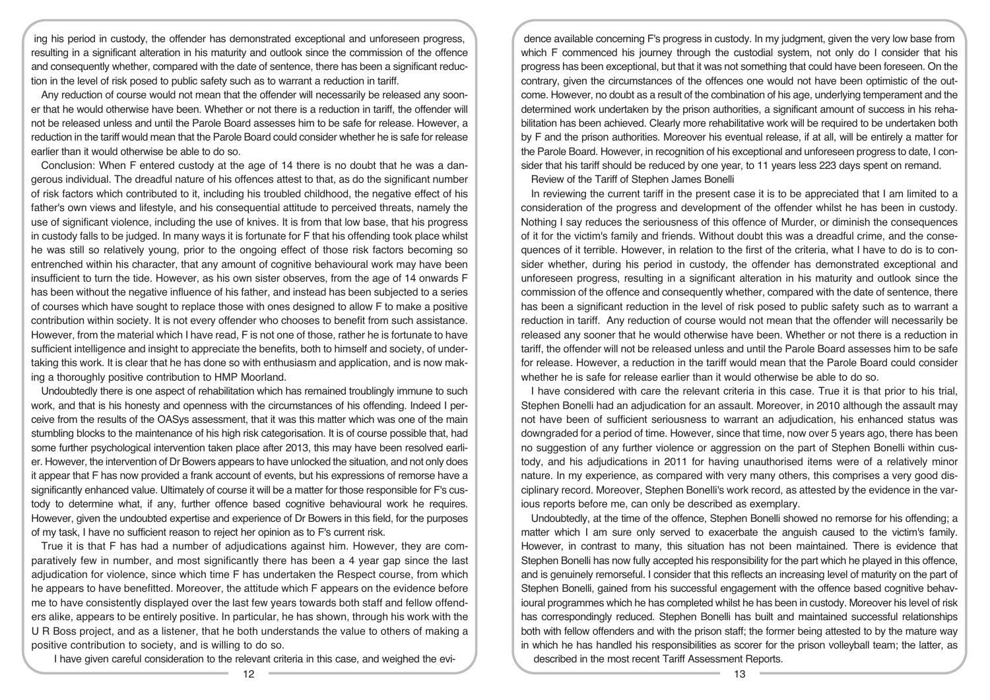ing his period in custody, the offender has demonstrated exceptional and unforeseen progress, resulting in a significant alteration in his maturity and outlook since the commission of the offence and consequently whether, compared with the date of sentence, there has been a significant reduction in the level of risk posed to public safety such as to warrant a reduction in tariff.

Any reduction of course would not mean that the offender will necessarily be released any sooner that he would otherwise have been. Whether or not there is a reduction in tariff, the offender will not be released unless and until the Parole Board assesses him to be safe for release. However, a reduction in the tariff would mean that the Parole Board could consider whether he is safe for release earlier than it would otherwise be able to do so.

Conclusion: When F entered custody at the age of 14 there is no doubt that he was a dangerous individual. The dreadful nature of his offences attest to that, as do the significant number of risk factors which contributed to it, including his troubled childhood, the negative effect of his father's own views and lifestyle, and his consequential attitude to perceived threats, namely the use of significant violence, including the use of knives. It is from that low base, that his progress in custody falls to be judged. In many ways it is fortunate for F that his offending took place whilst he was still so relatively young, prior to the ongoing effect of those risk factors becoming so entrenched within his character, that any amount of cognitive behavioural work may have been insufficient to turn the tide. However, as his own sister observes, from the age of 14 onwards F has been without the negative influence of his father, and instead has been subjected to a series of courses which have sought to replace those with ones designed to allow F to make a positive contribution within society. It is not every offender who chooses to benefit from such assistance. However, from the material which I have read, F is not one of those, rather he is fortunate to have sufficient intelligence and insight to appreciate the benefits, both to himself and society, of undertaking this work. It is clear that he has done so with enthusiasm and application, and is now making a thoroughly positive contribution to HMP Moorland.

Undoubtedly there is one aspect of rehabilitation which has remained troublingly immune to such work, and that is his honesty and openness with the circumstances of his offending. Indeed I perceive from the results of the OASys assessment, that it was this matter which was one of the main stumbling blocks to the maintenance of his high risk categorisation. It is of course possible that, had some further psychological intervention taken place after 2013, this may have been resolved earlier. However, the intervention of Dr Bowers appears to have unlocked the situation, and not only does it appear that F has now provided a frank account of events, but his expressions of remorse have a significantly enhanced value. Ultimately of course it will be a matter for those responsible for F's custody to determine what, if any, further offence based cognitive behavioural work he requires. However, given the undoubted expertise and experience of Dr Bowers in this field, for the purposes of my task, I have no sufficient reason to reject her opinion as to F's current risk.

True it is that F has had a number of adjudications against him. However, they are comparatively few in number, and most significantly there has been a 4 year gap since the last adjudication for violence, since which time F has undertaken the Respect course, from which he appears to have benefitted. Moreover, the attitude which F appears on the evidence before me to have consistently displayed over the last few years towards both staff and fellow offenders alike, appears to be entirely positive. In particular, he has shown, through his work with the U R Boss project, and as a listener, that he both understands the value to others of making a positive contribution to society, and is willing to do so.

I have given careful consideration to the relevant criteria in this case, and weighed the evi-

dence available concerning F's progress in custody. In my judgment, given the very low base from which F commenced his journey through the custodial system, not only do I consider that his progress has been exceptional, but that it was not something that could have been foreseen. On the contrary, given the circumstances of the offences one would not have been optimistic of the outcome. However, no doubt as a result of the combination of his age, underlying temperament and the determined work undertaken by the prison authorities, a significant amount of success in his rehabilitation has been achieved. Clearly more rehabilitative work will be required to be undertaken both by F and the prison authorities. Moreover his eventual release, if at all, will be entirely a matter for the Parole Board. However, in recognition of his exceptional and unforeseen progress to date, I consider that his tariff should be reduced by one year, to 11 years less 223 days spent on remand.

Review of the Tariff of Stephen James Bonelli

In reviewing the current tariff in the present case it is to be appreciated that I am limited to a consideration of the progress and development of the offender whilst he has been in custody. Nothing I say reduces the seriousness of this offence of Murder, or diminish the consequences of it for the victim's family and friends. Without doubt this was a dreadful crime, and the consequences of it terrible. However, in relation to the first of the criteria, what I have to do is to consider whether, during his period in custody, the offender has demonstrated exceptional and unforeseen progress, resulting in a significant alteration in his maturity and outlook since the commission of the offence and consequently whether, compared with the date of sentence, there has been a significant reduction in the level of risk posed to public safety such as to warrant a reduction in tariff. Any reduction of course would not mean that the offender will necessarily be released any sooner that he would otherwise have been. Whether or not there is a reduction in tariff, the offender will not be released unless and until the Parole Board assesses him to be safe for release. However, a reduction in the tariff would mean that the Parole Board could consider whether he is safe for release earlier than it would otherwise be able to do so.

I have considered with care the relevant criteria in this case. True it is that prior to his trial, Stephen Bonelli had an adjudication for an assault. Moreover, in 2010 although the assault may not have been of sufficient seriousness to warrant an adjudication, his enhanced status was downgraded for a period of time. However, since that time, now over 5 years ago, there has been no suggestion of any further violence or aggression on the part of Stephen Bonelli within custody, and his adjudications in 2011 for having unauthorised items were of a relatively minor nature. In my experience, as compared with very many others, this comprises a very good disciplinary record. Moreover, Stephen Bonelli's work record, as attested by the evidence in the various reports before me, can only be described as exemplary.

Undoubtedly, at the time of the offence, Stephen Bonelli showed no remorse for his offending; a matter which I am sure only served to exacerbate the anguish caused to the victim's family. However, in contrast to many, this situation has not been maintained. There is evidence that Stephen Bonelli has now fully accepted his responsibility for the part which he played in this offence, and is genuinely remorseful. I consider that this reflects an increasing level of maturity on the part of Stephen Bonelli, gained from his successful engagement with the offence based cognitive behavioural programmes which he has completed whilst he has been in custody. Moreover his level of risk has correspondingly reduced. Stephen Bonelli has built and maintained successful relationships both with fellow offenders and with the prison staff; the former being attested to by the mature way in which he has handled his responsibilities as scorer for the prison volleyball team; the latter, as described in the most recent Tariff Assessment Reports.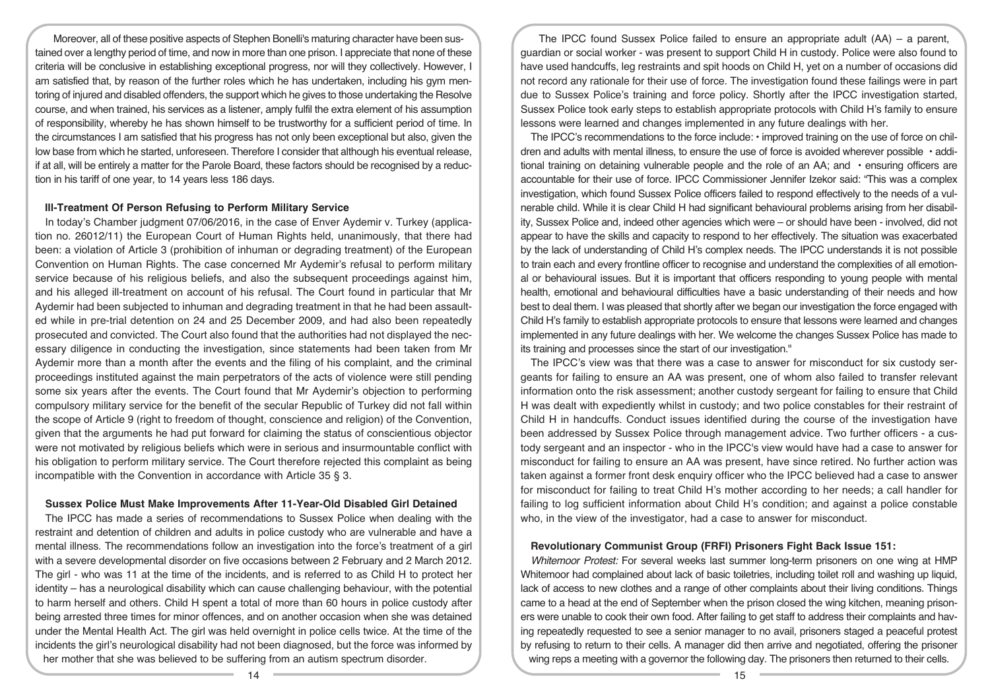Moreover, all of these positive aspects of Stephen Bonelli's maturing character have been sustained over a lengthy period of time, and now in more than one prison. I appreciate that none of these criteria will be conclusive in establishing exceptional progress, nor will they collectively. However, I am satisfied that, by reason of the further roles which he has undertaken, including his gym mentoring of injured and disabled offenders, the support which he gives to those undertaking the Resolve course, and when trained, his services as a listener, amply fulfil the extra element of his assumption of responsibility, whereby he has shown himself to be trustworthy for a sufficient period of time. In the circumstances I am satisfied that his progress has not only been exceptional but also, given the low base from which he started, unforeseen. Therefore I consider that although his eventual release, if at all, will be entirely a matter for the Parole Board, these factors should be recognised by a reduction in his tariff of one year, to 14 years less 186 days.

## **Ill-Treatment Of Person Refusing to Perform Military Service**

In today's Chamber judgment 07/06/2016, in the case of Enver Aydemir v. Turkey (application no. 26012/11) the European Court of Human Rights held, unanimously, that there had been: a violation of Article 3 (prohibition of inhuman or degrading treatment) of the European Convention on Human Rights. The case concerned Mr Aydemir's refusal to perform military service because of his religious beliefs, and also the subsequent proceedings against him, and his alleged ill-treatment on account of his refusal. The Court found in particular that Mr Aydemir had been subjected to inhuman and degrading treatment in that he had been assaulted while in pre-trial detention on 24 and 25 December 2009, and had also been repeatedly prosecuted and convicted. The Court also found that the authorities had not displayed the necessary diligence in conducting the investigation, since statements had been taken from Mr Aydemir more than a month after the events and the filing of his complaint, and the criminal proceedings instituted against the main perpetrators of the acts of violence were still pending some six years after the events. The Court found that Mr Aydemir's objection to performing compulsory military service for the benefit of the secular Republic of Turkey did not fall within the scope of Article 9 (right to freedom of thought, conscience and religion) of the Convention, given that the arguments he had put forward for claiming the status of conscientious objector were not motivated by religious beliefs which were in serious and insurmountable conflict with his obligation to perform military service. The Court therefore rejected this complaint as being incompatible with the Convention in accordance with Article 35 § 3.

#### **Sussex Police Must Make Improvements After 11-Year-Old Disabled Girl Detained**

The IPCC has made a series of recommendations to Sussex Police when dealing with the restraint and detention of children and adults in police custody who are vulnerable and have a mental illness. The recommendations follow an investigation into the force's treatment of a girl with a severe developmental disorder on five occasions between 2 February and 2 March 2012. The girl - who was 11 at the time of the incidents, and is referred to as Child H to protect her identity – has a neurological disability which can cause challenging behaviour, with the potential to harm herself and others. Child H spent a total of more than 60 hours in police custody after being arrested three times for minor offences, and on another occasion when she was detained under the Mental Health Act. The girl was held overnight in police cells twice. At the time of the incidents the girl's neurological disability had not been diagnosed, but the force was informed by her mother that she was believed to be suffering from an autism spectrum disorder.

The IPCC found Sussex Police failed to ensure an appropriate adult  $(AA)$  – a parent, guardian or social worker - was present to support Child H in custody. Police were also found to have used handcuffs, leg restraints and spit hoods on Child H, yet on a number of occasions did not record any rationale for their use of force. The investigation found these failings were in part due to Sussex Police's training and force policy. Shortly after the IPCC investigation started, Sussex Police took early steps to establish appropriate protocols with Child H's family to ensure lessons were learned and changes implemented in any future dealings with her.

The IPCC's recommendations to the force include: • improved training on the use of force on children and adults with mental illness, to ensure the use of force is avoided wherever possible • additional training on detaining vulnerable people and the role of an AA; and • ensuring officers are accountable for their use of force. IPCC Commissioner Jennifer Izekor said: "This was a complex investigation, which found Sussex Police officers failed to respond effectively to the needs of a vulnerable child. While it is clear Child H had significant behavioural problems arising from her disability, Sussex Police and, indeed other agencies which were – or should have been - involved, did not appear to have the skills and capacity to respond to her effectively. The situation was exacerbated by the lack of understanding of Child H's complex needs. The IPCC understands it is not possible to train each and every frontline officer to recognise and understand the complexities of all emotional or behavioural issues. But it is important that officers responding to young people with mental health, emotional and behavioural difficulties have a basic understanding of their needs and how best to deal them. I was pleased that shortly after we began our investigation the force engaged with Child H's family to establish appropriate protocols to ensure that lessons were learned and changes implemented in any future dealings with her. We welcome the changes Sussex Police has made to its training and processes since the start of our investigation."

The IPCC's view was that there was a case to answer for misconduct for six custody sergeants for failing to ensure an AA was present, one of whom also failed to transfer relevant information onto the risk assessment; another custody sergeant for failing to ensure that Child H was dealt with expediently whilst in custody; and two police constables for their restraint of Child H in handcuffs. Conduct issues identified during the course of the investigation have been addressed by Sussex Police through management advice. Two further officers - a custody sergeant and an inspector - who in the IPCC's view would have had a case to answer for misconduct for failing to ensure an AA was present, have since retired. No further action was taken against a former front desk enquiry officer who the IPCC believed had a case to answer for misconduct for failing to treat Child H's mother according to her needs; a call handler for failing to log sufficient information about Child H's condition; and against a police constable who, in the view of the investigator, had a case to answer for misconduct.

#### **Revolutionary Communist Group (FRFI) Prisoners Fight Back Issue 151:**

*Whitemoor Protest:* For several weeks last summer long-term prisoners on one wing at HMP Whitemoor had complained about lack of basic toiletries, including toilet roll and washing up liquid, lack of access to new clothes and a range of other complaints about their living conditions. Things came to a head at the end of September when the prison closed the wing kitchen, meaning prisoners were unable to cook their own food. After failing to get staff to address their complaints and having repeatedly requested to see a senior manager to no avail, prisoners staged a peaceful protest by refusing to return to their cells. A manager did then arrive and negotiated, offering the prisoner wing reps a meeting with a governor the following day. The prisoners then returned to their cells.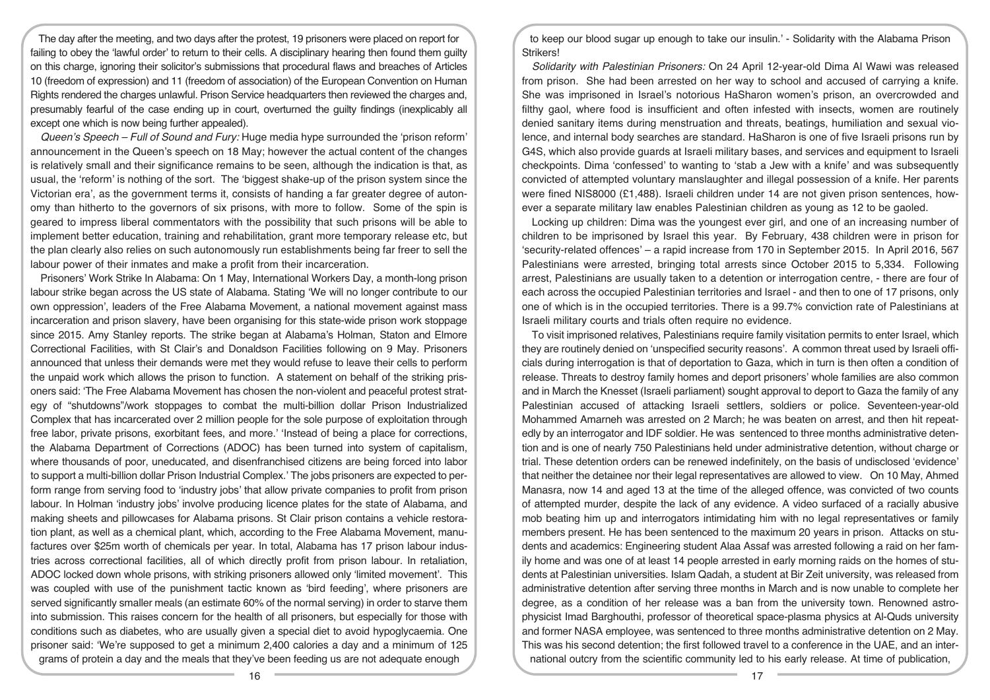The day after the meeting, and two days after the protest, 19 prisoners were placed on report for failing to obey the 'lawful order' to return to their cells. A disciplinary hearing then found them quilty on this charge, ignoring their solicitor's submissions that procedural flaws and breaches of Articles 10 (freedom of expression) and 11 (freedom of association) of the European Convention on Human Rights rendered the charges unlawful. Prison Service headquarters then reviewed the charges and, presumably fearful of the case ending up in court, overturned the guilty findings (inexplicably all except one which is now being further appealed).

*Queen's Speech – Full of Sound and Fury:* Huge media hype surrounded the 'prison reform' announcement in the Queen's speech on 18 May; however the actual content of the changes is relatively small and their significance remains to be seen, although the indication is that, as usual, the 'reform' is nothing of the sort. The 'biggest shake-up of the prison system since the Victorian era', as the government terms it, consists of handing a far greater degree of autonomy than hitherto to the governors of six prisons, with more to follow. Some of the spin is geared to impress liberal commentators with the possibility that such prisons will be able to implement better education, training and rehabilitation, grant more temporary release etc, but the plan clearly also relies on such autonomously run establishments being far freer to sell the labour power of their inmates and make a profit from their incarceration.

Prisoners' Work Strike In Alabama: On 1 May, International Workers Day, a month-long prison labour strike began across the US state of Alabama. Stating 'We will no longer contribute to our own oppression', leaders of the Free Alabama Movement, a national movement against mass incarceration and prison slavery, have been organising for this state-wide prison work stoppage since 2015. Amy Stanley reports. The strike began at Alabama's Holman, Staton and Elmore Correctional Facilities, with St Clair's and Donaldson Facilities following on 9 May. Prisoners announced that unless their demands were met they would refuse to leave their cells to perform the unpaid work which allows the prison to function. A statement on behalf of the striking prisoners said: 'The Free Alabama Movement has chosen the non-violent and peaceful protest strategy of "shutdowns"/work stoppages to combat the multi-billion dollar Prison Industrialized Complex that has incarcerated over 2 million people for the sole purpose of exploitation through free labor, private prisons, exorbitant fees, and more.' 'Instead of being a place for corrections, the Alabama Department of Corrections (ADOC) has been turned into system of capitalism, where thousands of poor, uneducated, and disenfranchised citizens are being forced into labor to support a multi-billion dollar Prison Industrial Complex.' The jobs prisoners are expected to perform range from serving food to 'industry jobs' that allow private companies to profit from prison labour. In Holman 'industry jobs' involve producing licence plates for the state of Alabama, and making sheets and pillowcases for Alabama prisons. St Clair prison contains a vehicle restoration plant, as well as a chemical plant, which, according to the Free Alabama Movement, manufactures over \$25m worth of chemicals per year. In total, Alabama has 17 prison labour industries across correctional facilities, all of which directly profit from prison labour. In retaliation, ADOC locked down whole prisons, with striking prisoners allowed only 'limited movement'. This was coupled with use of the punishment tactic known as 'bird feeding', where prisoners are served significantly smaller meals (an estimate 60% of the normal serving) in order to starve them into submission. This raises concern for the health of all prisoners, but especially for those with conditions such as diabetes, who are usually given a special diet to avoid hypoglycaemia. One prisoner said: 'We're supposed to get a minimum 2,400 calories a day and a minimum of 125 grams of protein a day and the meals that they've been feeding us are not adequate enough

to keep our blood sugar up enough to take our insulin.' - Solidarity with the Alabama Prison Strikers!

*Solidarity with Palestinian Prisoners:* On 24 April 12-year-old Dima Al Wawi was released from prison. She had been arrested on her way to school and accused of carrying a knife. She was imprisoned in Israel's notorious HaSharon women's prison, an overcrowded and filthy gaol, where food is insufficient and often infested with insects, women are routinely denied sanitary items during menstruation and threats, beatings, humiliation and sexual violence, and internal body searches are standard. HaSharon is one of five Israeli prisons run by G4S, which also provide guards at Israeli military bases, and services and equipment to Israeli checkpoints. Dima 'confessed' to wanting to 'stab a Jew with a knife' and was subsequently convicted of attempted voluntary manslaughter and illegal possession of a knife. Her parents were fined NIS8000 (£1,488). Israeli children under 14 are not given prison sentences, however a separate military law enables Palestinian children as young as 12 to be gaoled.

Locking up children: Dima was the youngest ever girl, and one of an increasing number of children to be imprisoned by Israel this year. By February, 438 children were in prison for 'security-related offences' – a rapid increase from 170 in September 2015. In April 2016, 567 Palestinians were arrested, bringing total arrests since October 2015 to 5,334. Following arrest, Palestinians are usually taken to a detention or interrogation centre, - there are four of each across the occupied Palestinian territories and Israel - and then to one of 17 prisons, only one of which is in the occupied territories. There is a 99.7% conviction rate of Palestinians at Israeli military courts and trials often require no evidence.

To visit imprisoned relatives, Palestinians require family visitation permits to enter Israel, which they are routinely denied on 'unspecified security reasons'. A common threat used by Israeli officials during interrogation is that of deportation to Gaza, which in turn is then often a condition of release. Threats to destroy family homes and deport prisoners' whole families are also common and in March the Knesset (Israeli parliament) sought approval to deport to Gaza the family of any Palestinian accused of attacking Israeli settlers, soldiers or police. Seventeen-year-old Mohammed Amarneh was arrested on 2 March; he was beaten on arrest, and then hit repeatedly by an interrogator and IDF soldier. He was sentenced to three months administrative detention and is one of nearly 750 Palestinians held under administrative detention, without charge or trial. These detention orders can be renewed indefinitely, on the basis of undisclosed 'evidence' that neither the detainee nor their legal representatives are allowed to view. On 10 May, Ahmed Manasra, now 14 and aged 13 at the time of the alleged offence, was convicted of two counts of attempted murder, despite the lack of any evidence. A video surfaced of a racially abusive mob beating him up and interrogators intimidating him with no legal representatives or family members present. He has been sentenced to the maximum 20 years in prison. Attacks on students and academics: Engineering student Alaa Assaf was arrested following a raid on her family home and was one of at least 14 people arrested in early morning raids on the homes of students at Palestinian universities. Islam Qadah, a student at Bir Zeit university, was released from administrative detention after serving three months in March and is now unable to complete her degree, as a condition of her release was a ban from the university town. Renowned astrophysicist Imad Barghouthi, professor of theoretical space-plasma physics at Al-Quds university and former NASA employee, was sentenced to three months administrative detention on 2 May. This was his second detention; the first followed travel to a conference in the UAE, and an international outcry from the scientific community led to his early release. At time of publication,